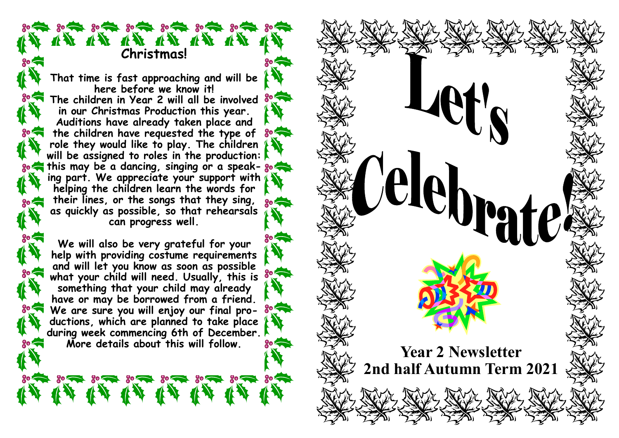14 14 14 14 14 14 14 **Christmas!**

 $30 - 30 - 30 - 30 - 30 - 30 - 30 - 30$ 

**That time is fast approaching and will be here before we know it! The children in Year 2 will all be involved in our Christmas Production this year. Auditions have already taken place and the children have requested the type of role they would like to play. The children will be assigned to roles in the production: so this may be a dancing, singing or a speak- so the solution of the solution of the solution of the solution of the solution of the solution of the solution of the solution of the solution of the solution of the solution ing part. We appreciate your support with helping the children learn the words for their lines, or the songs that they sing, as quickly as possible, so that rehearsals can progress well.**

**We will also be very grateful for your help with providing costume requirements and will let you know as soon as possible what your child will need. Usually, this is something that your child may already have or may be borrowed from a friend.**   $30 -$ **We are sure you will enjoy our final productions, which are planned to take place during week commencing 6th of December.** 

经济济济济济济济